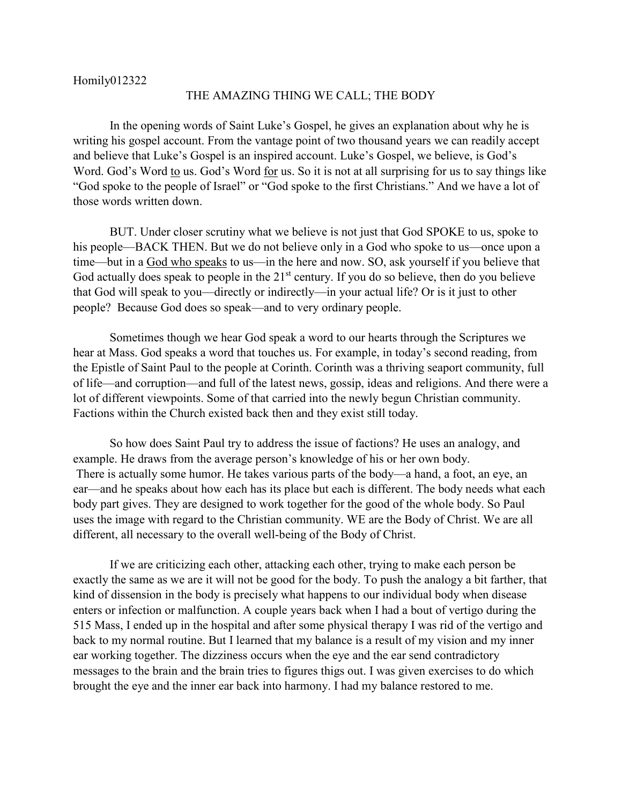## THE AMAZING THING WE CALL; THE BODY

In the opening words of Saint Luke's Gospel, he gives an explanation about why he is writing his gospel account. From the vantage point of two thousand years we can readily accept and believe that Luke's Gospel is an inspired account. Luke's Gospel, we believe, is God's Word. God's Word to us. God's Word for us. So it is not at all surprising for us to say things like "God spoke to the people of Israel" or "God spoke to the first Christians." And we have a lot of those words written down.

BUT. Under closer scrutiny what we believe is not just that God SPOKE to us, spoke to his people—BACK THEN. But we do not believe only in a God who spoke to us—once upon a time—but in a God who speaks to us—in the here and now. SO, ask yourself if you believe that God actually does speak to people in the  $21<sup>st</sup>$  century. If you do so believe, then do you believe that God will speak to you—directly or indirectly—in your actual life? Or is it just to other people? Because God does so speak—and to very ordinary people.

Sometimes though we hear God speak a word to our hearts through the Scriptures we hear at Mass. God speaks a word that touches us. For example, in today's second reading, from the Epistle of Saint Paul to the people at Corinth. Corinth was a thriving seaport community, full of life—and corruption—and full of the latest news, gossip, ideas and religions. And there were a lot of different viewpoints. Some of that carried into the newly begun Christian community. Factions within the Church existed back then and they exist still today.

So how does Saint Paul try to address the issue of factions? He uses an analogy, and example. He draws from the average person's knowledge of his or her own body. There is actually some humor. He takes various parts of the body—a hand, a foot, an eye, an ear—and he speaks about how each has its place but each is different. The body needs what each body part gives. They are designed to work together for the good of the whole body. So Paul uses the image with regard to the Christian community. WE are the Body of Christ. We are all different, all necessary to the overall well-being of the Body of Christ.

If we are criticizing each other, attacking each other, trying to make each person be exactly the same as we are it will not be good for the body. To push the analogy a bit farther, that kind of dissension in the body is precisely what happens to our individual body when disease enters or infection or malfunction. A couple years back when I had a bout of vertigo during the 515 Mass, I ended up in the hospital and after some physical therapy I was rid of the vertigo and back to my normal routine. But I learned that my balance is a result of my vision and my inner ear working together. The dizziness occurs when the eye and the ear send contradictory messages to the brain and the brain tries to figures thigs out. I was given exercises to do which brought the eye and the inner ear back into harmony. I had my balance restored to me.